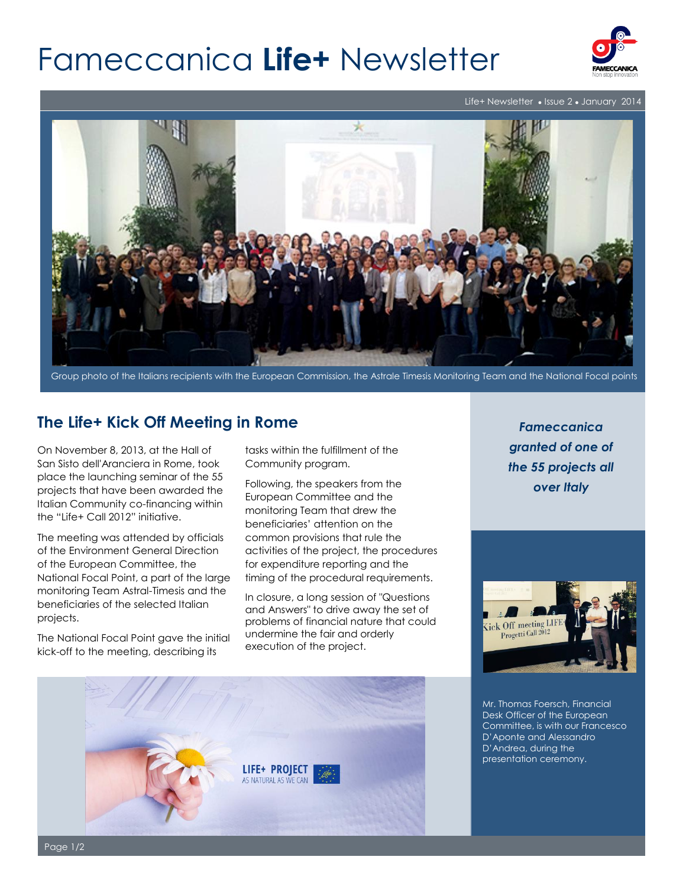# Fameccanica **Life+** Newsletter



Life+ Newsletter • Issue 2 • January 2014



Group photo of the Italians recipients with the European Commission, the Astrale Timesis Monitoring Team and the National Focal points

## **The Life+ Kick Off Meeting in Rome**

On November 8, 2013, at the Hall of San Sisto dell'Aranciera in Rome, took place the launching seminar of the 55 projects that have been awarded the Italian Community co-financing within the "Life+ Call 2012" initiative.

The meeting was attended by officials of the Environment General Direction of the European Committee, the National Focal Point, a part of the large monitoring Team Astral-Timesis and the beneficiaries of the selected Italian projects.

The National Focal Point gave the initial kick-off to the meeting, describing its

tasks within the fulfillment of the Community program.

Following, the speakers from the European Committee and the monitoring Team that drew the beneficiaries' attention on the common provisions that rule the activities of the project, the procedures for expenditure reporting and the timing of the procedural requirements.

In closure, a long session of "Questions and Answers" to drive away the set of problems of financial nature that could undermine the fair and orderly execution of the project.

*Fameccanica granted of one of the 55 projects all over Italy*



Mr. Thomas Foersch, Financial Desk Officer of the European Committee, is with our Francesco D'Aponte and Alessandro D'Andrea, during the presentation ceremony.



Page 1/2